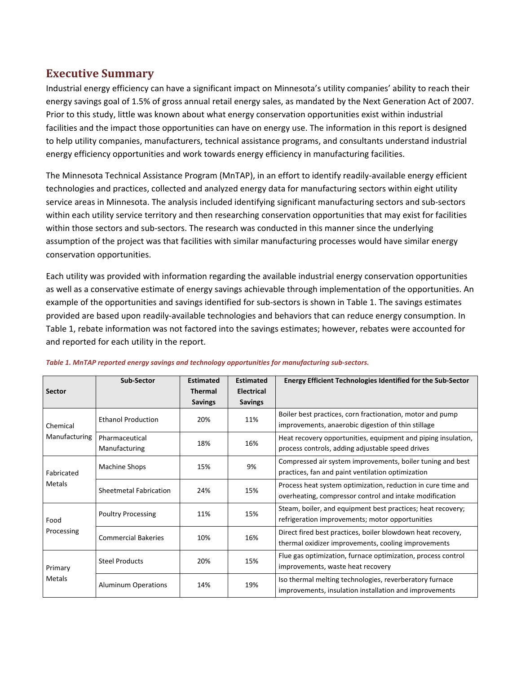## **Executive Summary**

Industrial energy efficiency can have a significant impact on Minnesota's utility companies' ability to reach their energy savings goal of 1.5% of gross annual retail energy sales, as mandated by the Next Generation Act of 2007. Prior to this study, little was known about what energy conservation opportunities exist within industrial facilities and the impact those opportunities can have on energy use. The information in this report is designed to help utility companies, manufacturers, technical assistance programs, and consultants understand industrial energy efficiency opportunities and work towards energy efficiency in manufacturing facilities.

The Minnesota Technical Assistance Program (MnTAP), in an effort to identify readily-available energy efficient technologies and practices, collected and analyzed energy data for manufacturing sectors within eight utility service areas in Minnesota. The analysis included identifying significant manufacturing sectors and sub-sectors within each utility service territory and then researching conservation opportunities that may exist for facilities within those sectors and sub-sectors. The research was conducted in this manner since the underlying assumption of the project was that facilities with similar manufacturing processes would have similar energy conservation opportunities.

Each utility was provided with information regarding the available industrial energy conservation opportunities as well as a conservative estimate of energy savings achievable through implementation of the opportunities. An example of the opportunities and savings identified for sub-sectors is shown in Table 1. The savings estimates provided are based upon readily-available technologies and behaviors that can reduce energy consumption. In Table 1, rebate information was not factored into the savings estimates; however, rebates were accounted for and reported for each utility in the report.

|                                  | <b>Sub-Sector</b>          | <b>Estimated</b> | <b>Estimated</b>  | <b>Energy Efficient Technologies Identified for the Sub-Sector</b> |
|----------------------------------|----------------------------|------------------|-------------------|--------------------------------------------------------------------|
| <b>Sector</b>                    |                            | <b>Thermal</b>   | <b>Electrical</b> |                                                                    |
|                                  |                            | <b>Savings</b>   | <b>Savings</b>    |                                                                    |
| Chemical<br><b>Manufacturing</b> | <b>Ethanol Production</b>  | 20%              | 11%               | Boiler best practices, corn fractionation, motor and pump          |
|                                  |                            |                  |                   | improvements, anaerobic digestion of thin stillage                 |
|                                  | Pharmaceutical             | 18%              | 16%               | Heat recovery opportunities, equipment and piping insulation,      |
|                                  | Manufacturing              |                  |                   | process controls, adding adjustable speed drives                   |
| Fabricated<br><b>Metals</b>      | Machine Shops              | 15%              | 9%                | Compressed air system improvements, boiler tuning and best         |
|                                  |                            |                  |                   | practices, fan and paint ventilation optimization                  |
|                                  | Sheetmetal Fabrication     | 24%              | 15%               | Process heat system optimization, reduction in cure time and       |
|                                  |                            |                  |                   | overheating, compressor control and intake modification            |
| Food<br>Processing               | <b>Poultry Processing</b>  | 11%              | 15%               | Steam, boiler, and equipment best practices; heat recovery;        |
|                                  |                            |                  |                   | refrigeration improvements; motor opportunities                    |
|                                  | <b>Commercial Bakeries</b> | 10%              | 16%               | Direct fired best practices, boiler blowdown heat recovery,        |
|                                  |                            |                  |                   | thermal oxidizer improvements, cooling improvements                |
| Primary<br><b>Metals</b>         | <b>Steel Products</b>      | 20%              | 15%               | Flue gas optimization, furnace optimization, process control       |
|                                  |                            |                  |                   | improvements, waste heat recovery                                  |
|                                  | <b>Aluminum Operations</b> | 14%              | 19%               | Iso thermal melting technologies, reverberatory furnace            |
|                                  |                            |                  |                   | improvements, insulation installation and improvements             |

## *Table 1. MnTAP reported energy savings and technology opportunities for manufacturing sub-sectors.*